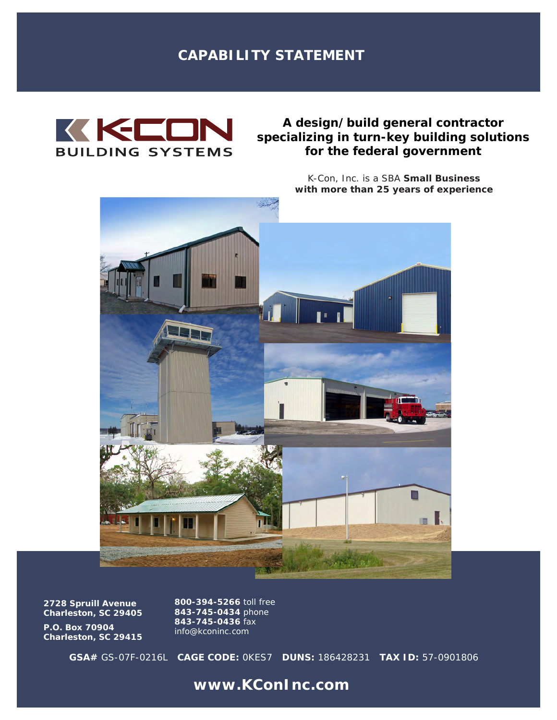# **CAPABILITY STATEMENT**



## *A design/build general contractor specializing in turn-key building solutions for the federal government*

K-Con, Inc. is a SBA **Small Business with more than 25 years of experience**



**2728 Spruill Avenue Charleston, SC 29405**

**P.O. Box 70904 Charleston, SC 29415** **800-394-5266** toll free **843-745-0434** phone **843-745-0436** fax *info@kconinc.com*

**GSA#** GS-07F-0216L **CAGE CODE:** 0KES7 **DUNS:** 186428231 **TAX ID:** 57-0901806

**www.KConInc.com**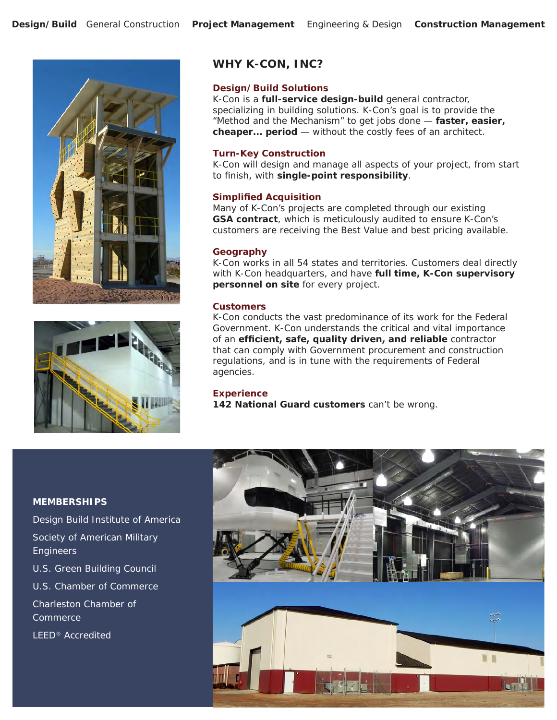



### **WHY K-CON, INC?**

### **Design/Build Solutions**

K-Con is a **full-service design-build** general contractor, specializing in building solutions. K-Con's goal is to provide the "Method and the Mechanism" to get jobs done — **faster, easier, cheaper... period** — without the costly fees of an architect.

#### **Turn-Key Construction**

K-Con will design and manage all aspects of your project, from start to finish, with **single-point responsibility**.

### **Simplified Acquisition**

Many of K-Con's projects are completed through our existing **GSA contract**, which is meticulously audited to ensure K-Con's customers are receiving the Best Value and best pricing available.

#### **Geography**

K-Con works in all 54 states and territories. Customers deal directly with K-Con headquarters, and have **full time, K-Con supervisory personnel on site** for every project.

### **Customers**

K-Con conducts the vast predominance of its work for the Federal Government. K-Con understands the critical and vital importance of an **efficient, safe, quality driven, and reliable** contractor that can comply with Government procurement and construction regulations, and is in tune with the requirements of Federal agencies.

#### **Experience**

**142 National Guard customers** can't be wrong.

#### **MEMBERSHIPS**

Design Build Institute of America Society of American Military **Engineers** U.S. Green Building Council U.S. Chamber of Commerce Charleston Chamber of Commerce LEED® Accredited

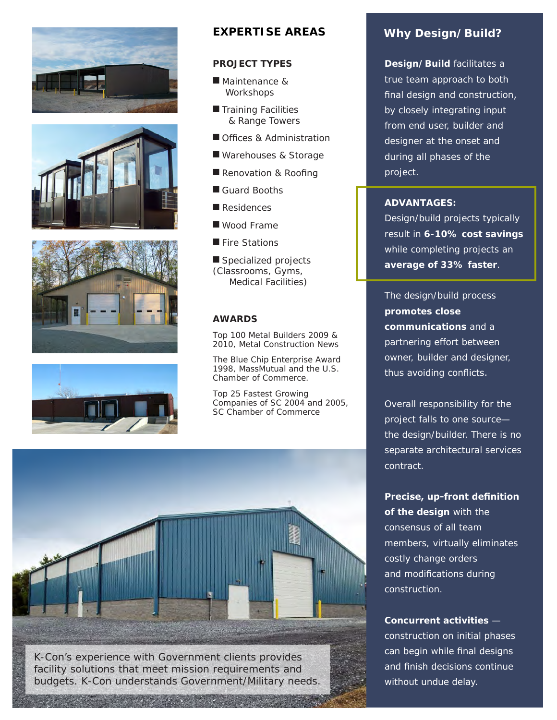







### **EXPERTISE AREAS**

### **PROJECT TYPES**

- Maintenance & **Workshops**
- **Training Facilities** & Range Towers
- Offices & Administration
- Warehouses & Storage
- Renovation & Roofing
- Guard Booths
- $\blacksquare$  Residences
- Wood Frame
- $\blacksquare$  Fire Stations

Specialized projects (Classrooms, Gyms, Medical Facilities)

### **AWARDS**

*Top 100 Metal Builders* 2009 & 2010, Metal Construction News

*The Blue Chip Enterprise Award* 1998, MassMutual and the U.S. Chamber of Commerce.

*Top 25 Fastest Growing Companies of SC* 2004 and 2005, SC Chamber of Commerce



### **Why Design/Build?**

**Design/Build** facilitates a true team approach to both final design and construction, by closely integrating input from end user, builder and designer at the onset and during all phases of the project.

### **ADVANTAGES:**

Design/build projects typically result in **6-10% cost savings** while completing projects an **average of 33% faster**.

The design/build process **promotes close communications** and a partnering effort between owner, builder and designer, thus avoiding conflicts.

Overall responsibility for the project falls to one source the design/builder. There is no separate architectural services contract.

**Precise, up-front definition of the design** with the consensus of all team members, virtually eliminates costly change orders and modifications during construction.

**Concurrent activities** construction on initial phases can begin while final designs and finish decisions continue without undue delay.